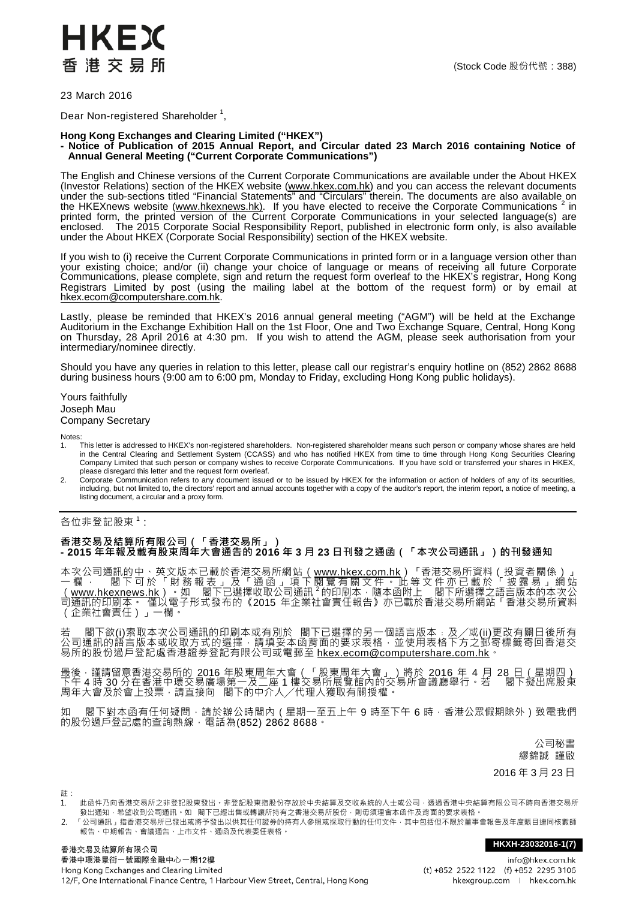

23 March 2016

Dear Non-registered Shareholder  $^1$ ,

## **Hong Kong Exchanges and Clearing Limited ("HKEX")**

## **- Notice of Publication of 2015 Annual Report, and Circular dated 23 March 2016 containing Notice of Annual General Meeting ("Current Corporate Communications")**

The English and Chinese versions of the Current Corporate Communications are available under the About HKEX (Investor Relations) section of the HKEX website (<u>www.hkex.com.hk)</u> and you can access the relevant documents under the sub-sections titled "Financial Statements" and "Circulars" therein. The documents are also available on the HKEXnews website [\(www.hkexnews.hk\)](http://www.hkexnews.hk/). If you have elected to receive the Corporate Communications <sup>2</sup> in printed form, the printed version of the Current Corporate Communications in your selected language(s) are enclosed. The 2015 Corporate Social Responsibility Report, published in electronic form only, is also available under the About HKEX (Corporate Social Responsibility) section of the HKEX website.

If you wish to (i) receive the Current Corporate Communications in printed form or in a language version other than your existing choice; and/or (ii) change your choice of language or means of receiving all future Corporate Communications, please complete, sign and return the request form overleaf to the HKEX's registrar, Hong Kong Registrars Limited by post (using the mailing label at the bottom of the request form) or by email at [hkex.ecom@computershare.com.hk.](mailto:hkex.ecom@computershare.com.hk)

Lastly, please be reminded that HKEX's 2016 annual general meeting ("AGM") will be held at the Exchange Auditorium in the Exchange Exhibition Hall on the 1st Floor, One and Two Exchange Square, Central, Hong Kong on Thursday, 28 April 2016 at 4:30 pm. If you wish to attend the AGM, please seek authorisation from your intermediary/nominee directly.

Should you have any queries in relation to this letter, please call our registrar's enquiry hotline on (852) 2862 8688 during business hours (9:00 am to 6:00 pm, Monday to Friday, excluding Hong Kong public holidays).

Yours faithfully Joseph Mau Company Secretary

Notes:<br>1.

- 1. This letter is addressed to HKEX's non-registered shareholders. Non-registered shareholder means such person or company whose shares are held in the Central Clearing and Settlement System (CCASS) and who has notified HKEX from time to time through Hong Kong Securities Clearing Company Limited that such person or company wishes to receive Corporate Communications. If you have sold or transferred your shares in HKEX, please disregard this letter and the request form overleaf.
- 2. Corporate Communication refers to any document issued or to be issued by HKEX for the information or action of holders of any of its securities, including, but not limited to, the directors' report and annual accounts together with a copy of the auditor's report, the interim report, a notice of meeting, a listing document, a circular and a proxy form.

## 各位非登記股東<sup>1</sup>:

## **香港交易及結算所有限公司(「香港交易所」) - 2015 年年報及載[有股東周年大會通告的](http://www.hkex.com.hk/chi/exchange/invest/shareholder/documents/130314_notice13agm_c.pdf) 2016 年 3 月 23 日刊發之通函(「本次公司通訊」)的刊發通知**

本次公司通訊的中、英文版本已載於香港交易所網站<u>([www.hkex.com.hk](http://www.hkex.com.hk/))</u>「香港交易所資料(投資者關係)」 一 欄 , 閣 下 可 於 「 財 務 報 表 」 及 「 通 函 」 項 下 閲 覽 有 關 文 件 , 此 等 文 件 亦 已 載 於 「 披 露 易 」 網 站<br><u>([www.hkexnews.hk](http://www.hkexnews.hk/)) 。</u>如 \_, 閣下已選擇收取公司通訊 <sup>2</sup> 的印刷本 ,隨本函附上 \_閣下所選擇之語言版本的本次公 司通訊的印刷本。 僅以電子形式發布的《2015 年企業社會責任報告》亦已載於香港交易所網站「香港交易所資料 (企業社會責任)」一欄。

若 \_ 閣下欲(i)索取本次公司通訊的印刷本或有別於 閣下已選擇的另一個語言版本﹔及╱或(ii)更改有關日後所有 公司通訊的語言版本或收取方式的選擇,請填妥本函背面的要求表格,並使用表格下方之郵寄標籤寄回香港交 易所的股份過戶登記處香港證券登記有限公司或電郵至 [hkex.ecom@computershare.com.hk](mailto:hkex.ecom@computershare.com.hk)。

最後 · 謹請留意香港交易所的 2016 年股東周年大會(「股東周年大會」)將於 2016 年 4 月 28 日(星期四) 下午 4 時 30 分在香港中環交易廣場第一及ニ座 1 樓交易所展覽館内的交易所會議廳舉行 • 若 閣下擬出席股東 周年大會及於會上投票,請直接向 閣下的中介人╱代理人獲取有關授權。

閣下對本函有任何疑問,請於辦公時間內 (星期一至五上午 9 時至下午 6 時,香港公眾假期除外 ) 致電我們 的股份過戶登記處的查詢熱線,電話為(852) 2862 8688。

> 公司秘書 繆錦誠 謹啟

2016 年 3 月 23 日

註:

1. 此函件乃向香港交易所之非登記股東發出。非登記股東指股份存放於中央結算及交收系統的人士或公司,透過香港中央結算有限公司不時向香港交易所 發出通知,希望收到公司通訊。如 閣下已經出售或轉讓所持有之香港交易所股份,則毋須理會本函件及背面的要求表格。

2. 「公司通訊」指香港交易所已發出或將予發出以供其任何證券的持有人參照或採取行動的任何文件,其中包括但不限於董事會報告及年度賬目連同核數師 報告、中期報告、會議通告、上市文件、通函及代表委任表格。

**HKXH-23032016-1(7)**